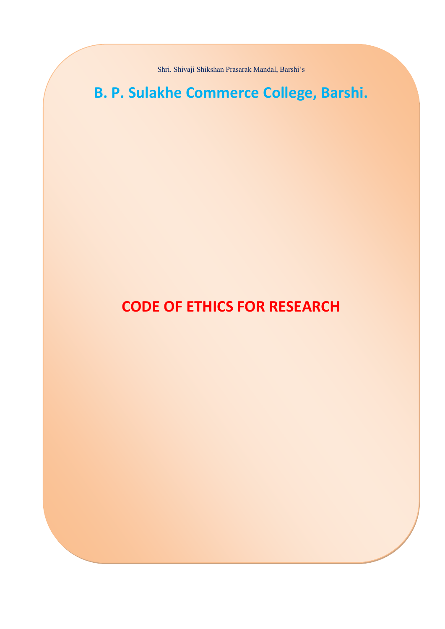Shri. Shivaji Shikshan Prasarak Mandal, Barshi's

# **B. P. Sulakhe Commerce College, Barshi.**

## **CODE OF ETHICS FOR RESEARCH**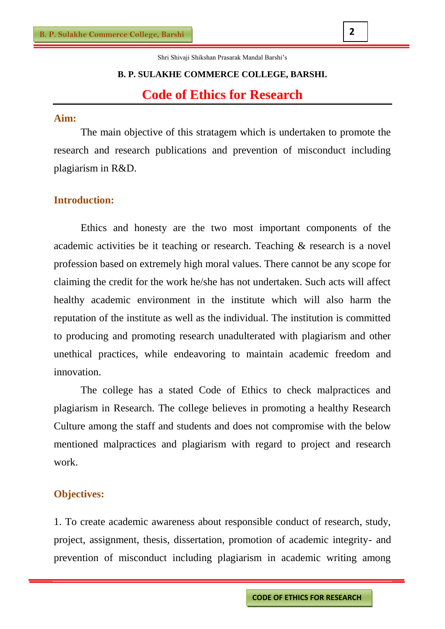Shri Shivaji Shikshan Prasarak Mandal Barshi's

## **B. P. SULAKHE COMMERCE COLLEGE, BARSHI. Code of Ethics for Research**

## **Aim:**

The main objective of this stratagem which is undertaken to promote the research and research publications and prevention of misconduct including plagiarism in R&D.

## **Introduction:**

Ethics and honesty are the two most important components of the academic activities be it teaching or research. Teaching & research is a novel profession based on extremely high moral values. There cannot be any scope for claiming the credit for the work he/she has not undertaken. Such acts will affect healthy academic environment in the institute which will also harm the reputation of the institute as well as the individual. The institution is committed to producing and promoting research unadulterated with plagiarism and other unethical practices, while endeavoring to maintain academic freedom and innovation.

The college has a stated Code of Ethics to check malpractices and plagiarism in Research. The college believes in promoting a healthy Research Culture among the staff and students and does not compromise with the below mentioned malpractices and plagiarism with regard to project and research work.

### **Objectives:**

1. To create academic awareness about responsible conduct of research, study, project, assignment, thesis, dissertation, promotion of academic integrity- and prevention of misconduct including plagiarism in academic writing among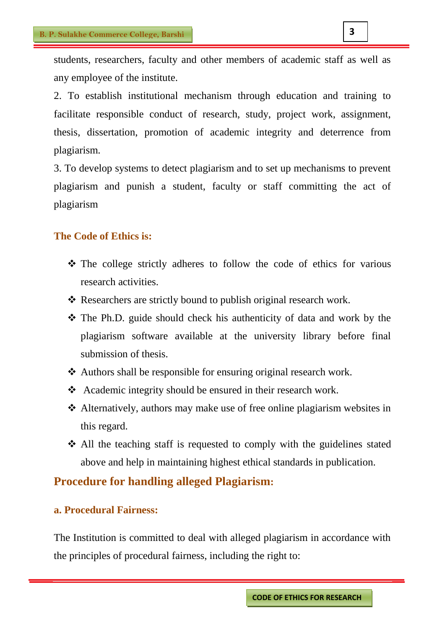students, researchers, faculty and other members of academic staff as well as any employee of the institute.

2. To establish institutional mechanism through education and training to facilitate responsible conduct of research, study, project work, assignment, thesis, dissertation, promotion of academic integrity and deterrence from plagiarism.

3. To develop systems to detect plagiarism and to set up mechanisms to prevent plagiarism and punish a student, faculty or staff committing the act of plagiarism

## **The Code of Ethics is:**

- The college strictly adheres to follow the code of ethics for various research activities.
- \* Researchers are strictly bound to publish original research work.
- The Ph.D. guide should check his authenticity of data and work by the plagiarism software available at the university library before final submission of thesis.
- Authors shall be responsible for ensuring original research work.
- ◆ Academic integrity should be ensured in their research work.
- Alternatively, authors may make use of free online plagiarism websites in this regard.
- All the teaching staff is requested to comply with the guidelines stated above and help in maintaining highest ethical standards in publication.

## **Procedure for handling alleged Plagiarism:**

#### **a. Procedural Fairness:**

The Institution is committed to deal with alleged plagiarism in accordance with the principles of procedural fairness, including the right to: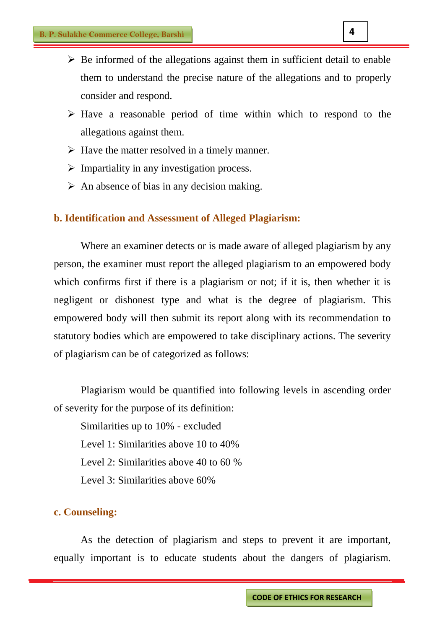- $\triangleright$  Be informed of the allegations against them in sufficient detail to enable them to understand the precise nature of the allegations and to properly consider and respond.
- $\triangleright$  Have a reasonable period of time within which to respond to the allegations against them.
- $\triangleright$  Have the matter resolved in a timely manner.
- $\triangleright$  Impartiality in any investigation process.
- $\triangleright$  An absence of bias in any decision making.

#### **b. Identification and Assessment of Alleged Plagiarism:**

Where an examiner detects or is made aware of alleged plagiarism by any person, the examiner must report the alleged plagiarism to an empowered body which confirms first if there is a plagiarism or not; if it is, then whether it is negligent or dishonest type and what is the degree of plagiarism. This empowered body will then submit its report along with its recommendation to statutory bodies which are empowered to take disciplinary actions. The severity of plagiarism can be of categorized as follows:

Plagiarism would be quantified into following levels in ascending order of severity for the purpose of its definition:

Similarities up to 10% - excluded Level 1: Similarities above 10 to 40% Level 2: Similarities above 40 to 60 % Level 3: Similarities above 60%

#### **c. Counseling:**

As the detection of plagiarism and steps to prevent it are important, equally important is to educate students about the dangers of plagiarism.